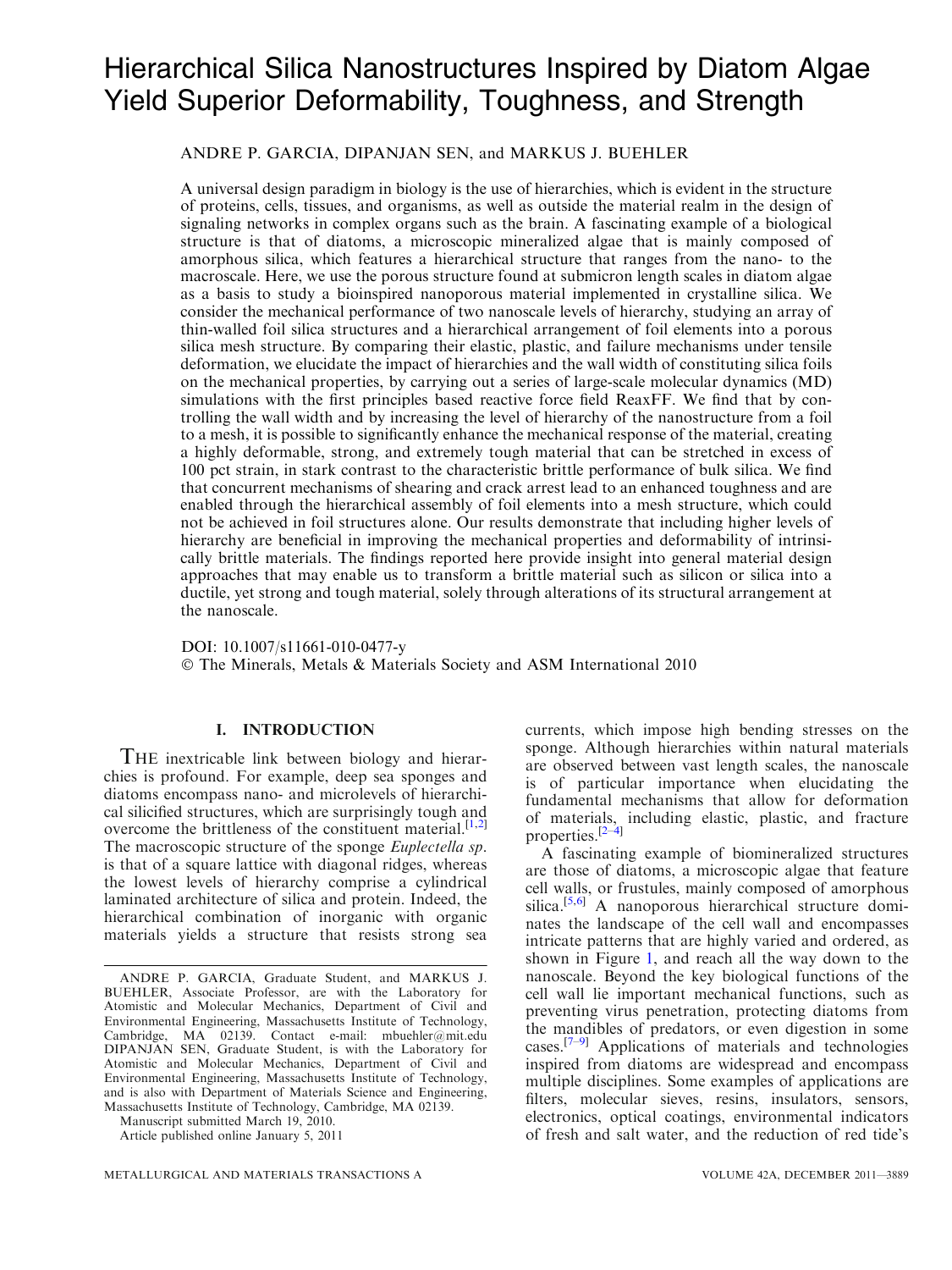# Hierarchical Silica Nanostructures Inspired by Diatom Algae Yield Superior Deformability, Toughness, and Strength

# ANDRE P. GARCIA, DIPANJAN SEN, and MARKUS J. BUEHLER

A universal design paradigm in biology is the use of hierarchies, which is evident in the structure of proteins, cells, tissues, and organisms, as well as outside the material realm in the design of signaling networks in complex organs such as the brain. A fascinating example of a biological structure is that of diatoms, a microscopic mineralized algae that is mainly composed of amorphous silica, which features a hierarchical structure that ranges from the nano- to the macroscale. Here, we use the porous structure found at submicron length scales in diatom algae as a basis to study a bioinspired nanoporous material implemented in crystalline silica. We consider the mechanical performance of two nanoscale levels of hierarchy, studying an array of thin-walled foil silica structures and a hierarchical arrangement of foil elements into a porous silica mesh structure. By comparing their elastic, plastic, and failure mechanisms under tensile deformation, we elucidate the impact of hierarchies and the wall width of constituting silica foils on the mechanical properties, by carrying out a series of large-scale molecular dynamics (MD) simulations with the first principles based reactive force field ReaxFF. We find that by controlling the wall width and by increasing the level of hierarchy of the nanostructure from a foil to a mesh, it is possible to significantly enhance the mechanical response of the material, creating a highly deformable, strong, and extremely tough material that can be stretched in excess of 100 pct strain, in stark contrast to the characteristic brittle performance of bulk silica. We find that concurrent mechanisms of shearing and crack arrest lead to an enhanced toughness and are enabled through the hierarchical assembly of foil elements into a mesh structure, which could not be achieved in foil structures alone. Our results demonstrate that including higher levels of hierarchy are beneficial in improving the mechanical properties and deformability of intrinsically brittle materials. The findings reported here provide insight into general material design approaches that may enable us to transform a brittle material such as silicon or silica into a ductile, yet strong and tough material, solely through alterations of its structural arrangement at the nanoscale.

DOI: 10.1007/s11661-010-0477-y - The Minerals, Metals & Materials Society and ASM International 2010

## I. INTRODUCTION

THE inextricable link between biology and hierarchies is profound. For example, deep sea sponges and diatoms encompass nano- and microlevels of hierarchical silicified structures, which are surprisingly tough and overcome the brittleness of the constituent material.<sup>[\[1,2\]](#page-8-0)</sup> The macroscopic structure of the sponge *Euplectella sp*. is that of a square lattice with diagonal ridges, whereas the lowest levels of hierarchy comprise a cylindrical laminated architecture of silica and protein. Indeed, the hierarchical combination of inorganic with organic materials yields a structure that resists strong sea

Manuscript submitted March 19, 2010.

Article published online January 5, 2011

currents, which impose high bending stresses on the sponge. Although hierarchies within natural materials are observed between vast length scales, the nanoscale is of particular importance when elucidating the fundamental mechanisms that allow for deformation of materials, including elastic, plastic, and fracture properties.<sup>[\[2](#page-8-0)–[4\]](#page-8-0)</sup>

A fascinating example of biomineralized structures are those of diatoms, a microscopic algae that feature cell walls, or frustules, mainly composed of amorphous silica.<sup>[[5,6](#page-8-0)]</sup> A nanoporous hierarchical structure dominates the landscape of the cell wall and encompasses intricate patterns that are highly varied and ordered, as shown in Figure [1,](#page-1-0) and reach all the way down to the nanoscale. Beyond the key biological functions of the cell wall lie important mechanical functions, such as preventing virus penetration, protecting diatoms from the mandibles of predators, or even digestion in some cases. $[7-9]$  Applications of materials and technologies inspired from diatoms are widespread and encompass multiple disciplines. Some examples of applications are filters, molecular sieves, resins, insulators, sensors, electronics, optical coatings, environmental indicators of fresh and salt water, and the reduction of red tide's

ANDRE P. GARCIA, Graduate Student, and MARKUS J. BUEHLER, Associate Professor, are with the Laboratory for Atomistic and Molecular Mechanics, Department of Civil and Environmental Engineering, Massachusetts Institute of Technology, Cambridge, MA 02139. Contact e-mail: mbuehler@mit.edu DIPANJAN SEN, Graduate Student, is with the Laboratory for Atomistic and Molecular Mechanics, Department of Civil and Environmental Engineering, Massachusetts Institute of Technology, and is also with Department of Materials Science and Engineering, Massachusetts Institute of Technology, Cambridge, MA 02139.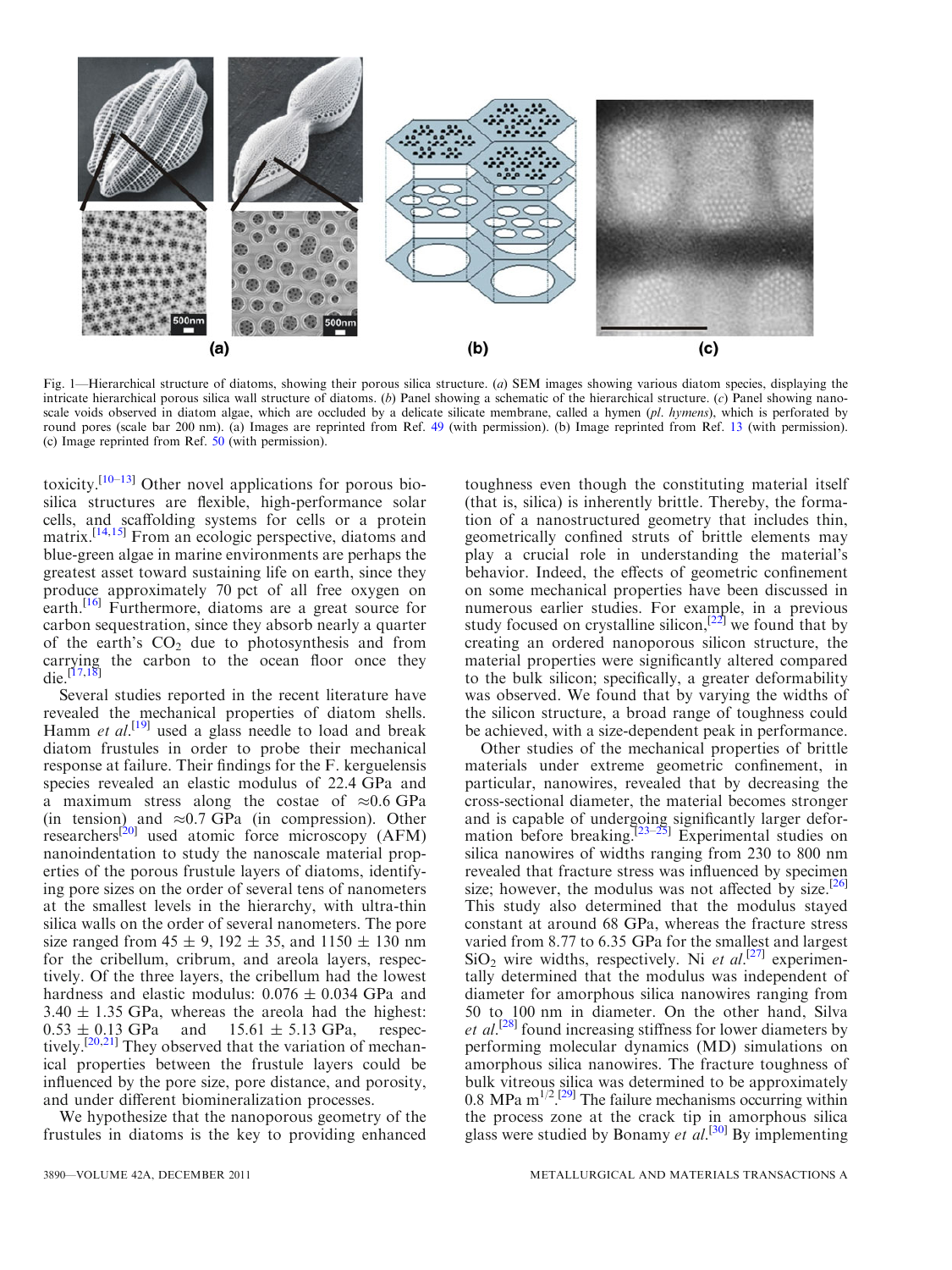<span id="page-1-0"></span>

Fig. 1—Hierarchical structure of diatoms, showing their porous silica structure. (a) SEM images showing various diatom species, displaying the intricate hierarchical porous silica wall structure of diatoms. (b) Panel showing a schematic of the hierarchical structure. (c) Panel showing nanoscale voids observed in diatom algae, which are occluded by a delicate silicate membrane, called a hymen (pl. hymens), which is perforated by round pores (scale bar 200 nm). (a) Images are reprinted from Ref. [49](#page-8-0) (with permission). (b) Image reprinted from Ref. [13](#page-8-0) (with permission). (c) Image reprinted from Ref. [50](#page-8-0) (with permission).

toxicity.<sup>[[10](#page-8-0)–[13](#page-8-0)]</sup> Other novel applications for porous biosilica structures are flexible, high-performance solar cells, and scaffolding systems for cells or a protein matrix.<sup>[[14,15\]](#page-8-0)</sup> From an ecologic perspective, diatoms and blue-green algae in marine environments are perhaps the greatest asset toward sustaining life on earth, since they produce approximately 70 pct of all free oxygen on earth.<sup>[[16](#page-8-0)]</sup> Furthermore, diatoms are a great source for carbon sequestration, since they absorb nearly a quarter of the earth's  $CO<sub>2</sub>$  due to photosynthesis and from carrying the carbon to the ocean floor once they die.[\[17,18](#page-8-0)]

Several studies reported in the recent literature have revealed the mechanical properties of diatom shells. Hamm et  $al$ <sup>[\[19\]](#page-8-0)</sup> used a glass needle to load and break diatom frustules in order to probe their mechanical response at failure. Their findings for the F. kerguelensis species revealed an elastic modulus of 22.4 GPa and a maximum stress along the costae of  $\approx 0.6$  GPa  $(in$  tension) and  $\approx 0.7$  GPa (in compression). Other researchers<sup>[\[20\]](#page-8-0)</sup> used atomic force microscopy (AFM) nanoindentation to study the nanoscale material properties of the porous frustule layers of diatoms, identifying pore sizes on the order of several tens of nanometers at the smallest levels in the hierarchy, with ultra-thin silica walls on the order of several nanometers. The pore size ranged from  $45 \pm 9$ ,  $192 \pm 35$ , and  $1150 \pm 130$  nm for the cribellum, cribrum, and areola layers, respectively. Of the three layers, the cribellum had the lowest hardness and elastic modulus:  $0.076 \pm 0.034$  GPa and  $3.40 \pm 1.35$  GPa, whereas the areola had the highest:  $0.53 \pm 0.13$  GPa and  $15.61 \pm 5.13$  GPa, respec-tively.<sup>[[20,21\]](#page-8-0)</sup> They observed that the variation of mechanical properties between the frustule layers could be influenced by the pore size, pore distance, and porosity, and under different biomineralization processes.

We hypothesize that the nanoporous geometry of the frustules in diatoms is the key to providing enhanced

toughness even though the constituting material itself (that is, silica) is inherently brittle. Thereby, the formation of a nanostructured geometry that includes thin, geometrically confined struts of brittle elements may play a crucial role in understanding the material's behavior. Indeed, the effects of geometric confinement on some mechanical properties have been discussed in numerous earlier studies. For example, in a previous study focused on crystalline silicon,  $[22]$  $[22]$  $[22]$  we found that by creating an ordered nanoporous silicon structure, the material properties were significantly altered compared to the bulk silicon; specifically, a greater deformability was observed. We found that by varying the widths of the silicon structure, a broad range of toughness could be achieved, with a size-dependent peak in performance.

Other studies of the mechanical properties of brittle materials under extreme geometric confinement, in particular, nanowires, revealed that by decreasing the cross-sectional diameter, the material becomes stronger and is capable of undergoing significantly larger defor-mation before breaking.<sup>[\[23–25\]](#page-8-0)</sup> Experimental studies on silica nanowires of widths ranging from 230 to 800 nm revealed that fracture stress was influenced by specimen size; however, the modulus was not affected by size.<sup>[[26](#page-8-0)]</sup> This study also determined that the modulus stayed constant at around 68 GPa, whereas the fracture stress varied from 8.77 to 6.35 GPa for the smallest and largest  $SiO<sub>2</sub>$  wire widths, respectively. Ni et al.<sup>[[27](#page-8-0)]</sup> experimentally determined that the modulus was independent of diameter for amorphous silica nanowires ranging from 50 to 100 nm in diameter. On the other hand, Silva et al.<sup>[\[28\]](#page-8-0)</sup> found increasing stiffness for lower diameters by performing molecular dynamics (MD) simulations on amorphous silica nanowires. The fracture toughness of bulk vitreous silica was determined to be approximately 0.8 MPa  $m^{1/2}$ .<sup>[\[29](#page-8-0)]</sup> The failure mechanisms occurring within the process zone at the crack tip in amorphous silica glass were studied by Bonamy et  $dL^{[30]}$  $dL^{[30]}$  $dL^{[30]}$  By implementing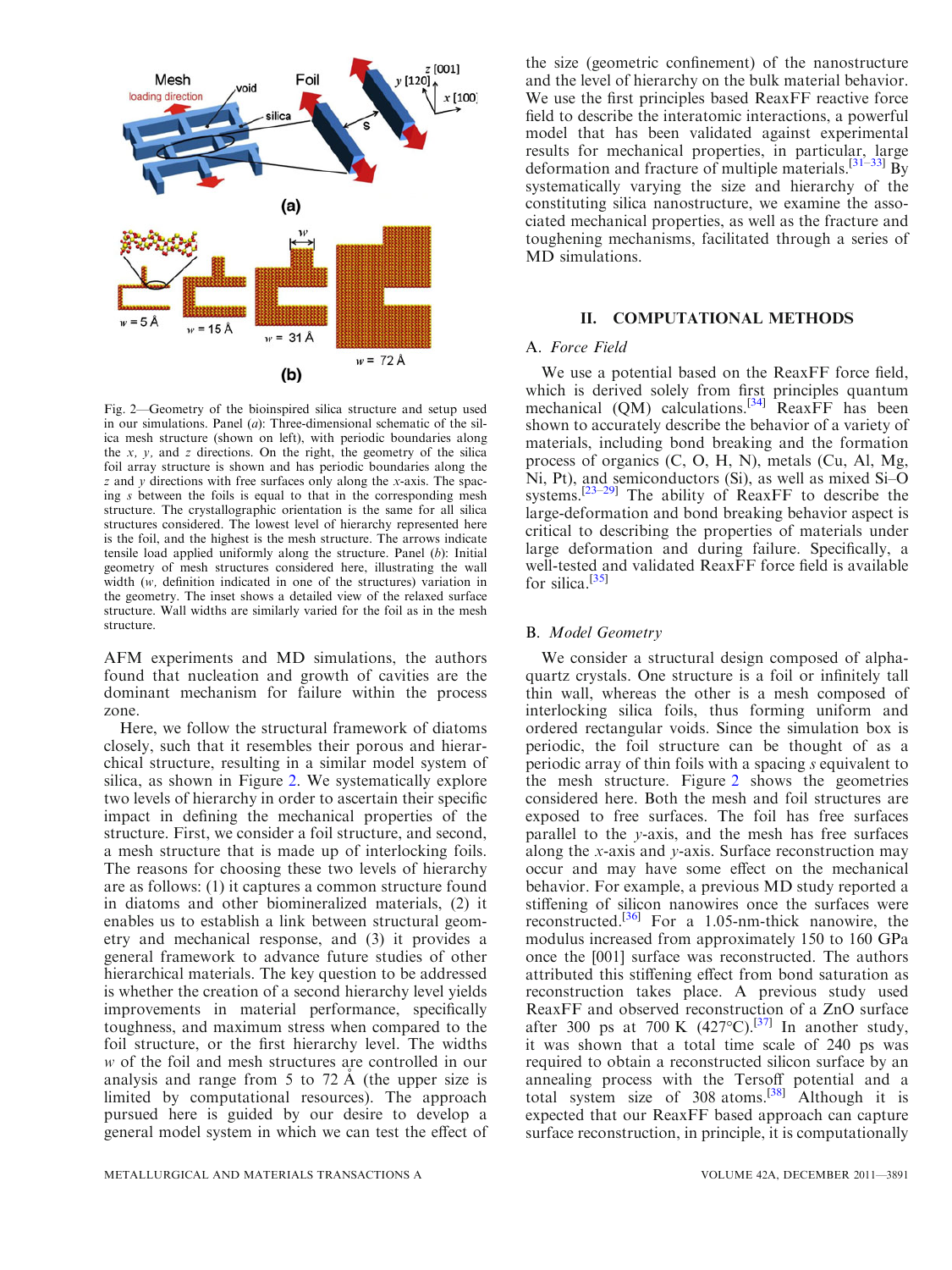<span id="page-2-0"></span>

Fig. 2—Geometry of the bioinspired silica structure and setup used in our simulations. Panel  $(a)$ : Three-dimensional schematic of the silica mesh structure (shown on left), with periodic boundaries along the  $x$ ,  $y$ , and  $z$  directions. On the right, the geometry of the silica foil array structure is shown and has periodic boundaries along the  $z$  and  $y$  directions with free surfaces only along the x-axis. The spacing s between the foils is equal to that in the corresponding mesh structure. The crystallographic orientation is the same for all silica structures considered. The lowest level of hierarchy represented here is the foil, and the highest is the mesh structure. The arrows indicate tensile load applied uniformly along the structure. Panel (b): Initial geometry of mesh structures considered here, illustrating the wall width (w, definition indicated in one of the structures) variation in the geometry. The inset shows a detailed view of the relaxed surface structure. Wall widths are similarly varied for the foil as in the mesh structure.

AFM experiments and MD simulations, the authors found that nucleation and growth of cavities are the dominant mechanism for failure within the process zone.

Here, we follow the structural framework of diatoms closely, such that it resembles their porous and hierarchical structure, resulting in a similar model system of silica, as shown in Figure 2. We systematically explore two levels of hierarchy in order to ascertain their specific impact in defining the mechanical properties of the structure. First, we consider a foil structure, and second, a mesh structure that is made up of interlocking foils. The reasons for choosing these two levels of hierarchy are as follows: (1) it captures a common structure found in diatoms and other biomineralized materials, (2) it enables us to establish a link between structural geometry and mechanical response, and (3) it provides a general framework to advance future studies of other hierarchical materials. The key question to be addressed is whether the creation of a second hierarchy level yields improvements in material performance, specifically toughness, and maximum stress when compared to the foil structure, or the first hierarchy level. The widths w of the foil and mesh structures are controlled in our analysis and range from 5 to 72  $\AA$  (the upper size is limited by computational resources). The approach pursued here is guided by our desire to develop a general model system in which we can test the effect of

the size (geometric confinement) of the nanostructure and the level of hierarchy on the bulk material behavior. We use the first principles based ReaxFF reactive force field to describe the interatomic interactions, a powerful model that has been validated against experimental results for mechanical properties, in particular, large deformation and fracture of multiple materials.<sup>[[31–33\]](#page-8-0)</sup> By systematically varying the size and hierarchy of the constituting silica nanostructure, we examine the associated mechanical properties, as well as the fracture and toughening mechanisms, facilitated through a series of MD simulations.

## II. COMPUTATIONAL METHODS

### A. Force Field

We use a potential based on the ReaxFF force field, which is derived solely from first principles quantum mechanical (QM) calculations.<sup>[\[34\]](#page-8-0)</sup> ReaxFF has been shown to accurately describe the behavior of a variety of materials, including bond breaking and the formation process of organics (C, O, H, N), metals (Cu, Al, Mg, Ni, Pt), and semiconductors (Si), as well as mixed Si–O systems.[\[23–29\]](#page-8-0) The ability of ReaxFF to describe the large-deformation and bond breaking behavior aspect is critical to describing the properties of materials under large deformation and during failure. Specifically, a well-tested and validated ReaxFF force field is available for silica.<sup>[[35](#page-8-0)]</sup>

### B. Model Geometry

We consider a structural design composed of alphaquartz crystals. One structure is a foil or infinitely tall thin wall, whereas the other is a mesh composed of interlocking silica foils, thus forming uniform and ordered rectangular voids. Since the simulation box is periodic, the foil structure can be thought of as a periodic array of thin foils with a spacing s equivalent to the mesh structure. Figure 2 shows the geometries considered here. Both the mesh and foil structures are exposed to free surfaces. The foil has free surfaces parallel to the y-axis, and the mesh has free surfaces along the x-axis and y-axis. Surface reconstruction may occur and may have some effect on the mechanical behavior. For example, a previous MD study reported a stiffening of silicon nanowires once the surfaces were reconstructed.[\[36\]](#page-8-0) For a 1.05-nm-thick nanowire, the modulus increased from approximately 150 to 160 GPa once the [001] surface was reconstructed. The authors attributed this stiffening effect from bond saturation as reconstruction takes place. A previous study used ReaxFF and observed reconstruction of a ZnO surface after 300 ps at 700 K  $(427^{\circ}C)^{[37]}$  $(427^{\circ}C)^{[37]}$  $(427^{\circ}C)^{[37]}$  In another study, it was shown that a total time scale of 240 ps was required to obtain a reconstructed silicon surface by an annealing process with the Tersoff potential and a total system size of  $308$  atoms.<sup>[[38](#page-8-0)]</sup> Although it is expected that our ReaxFF based approach can capture surface reconstruction, in principle, it is computationally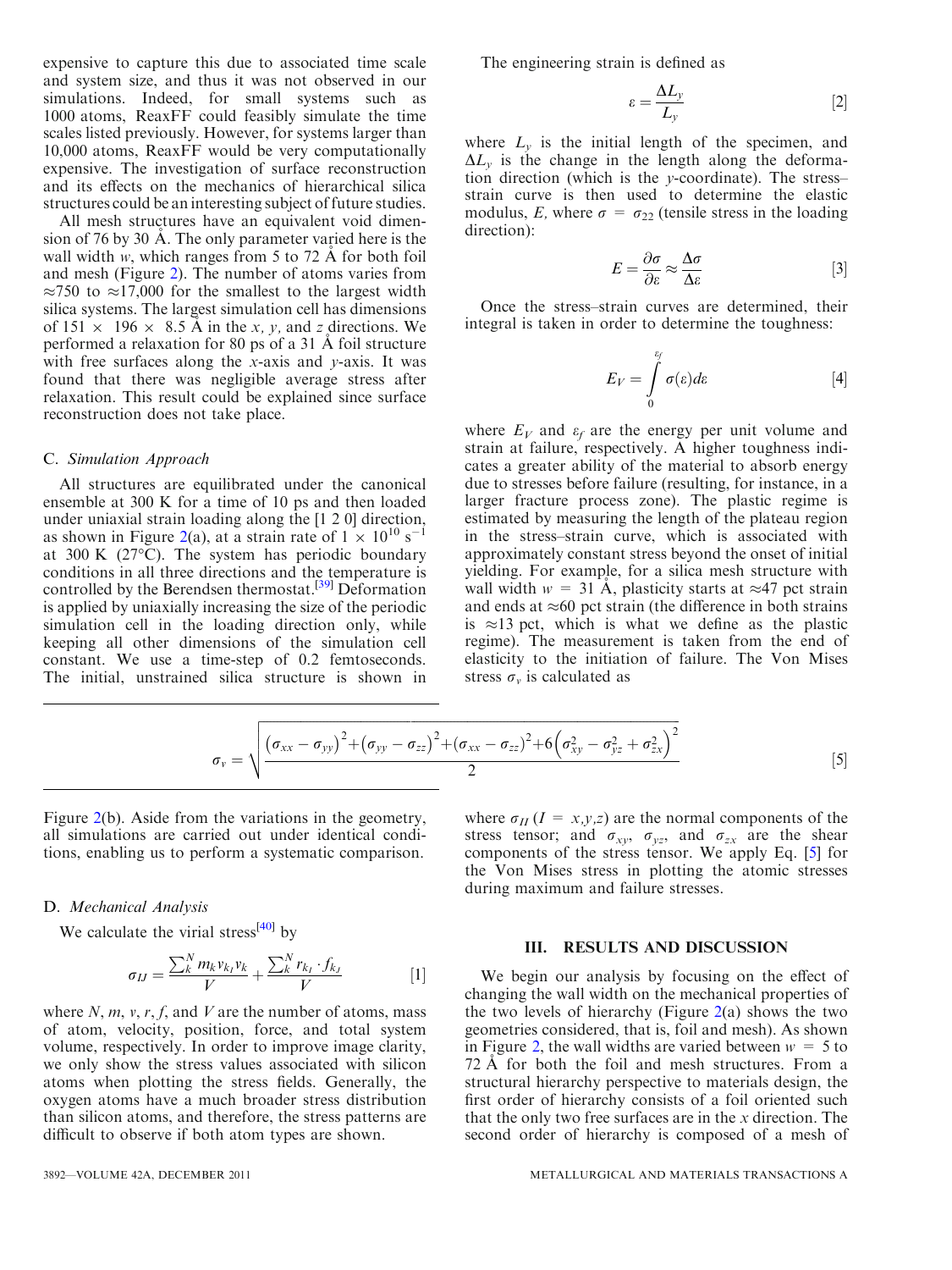expensive to capture this due to associated time scale and system size, and thus it was not observed in our simulations. Indeed, for small systems such as 1000 atoms, ReaxFF could feasibly simulate the time scales listed previously. However, for systems larger than 10,000 atoms, ReaxFF would be very computationally expensive. The investigation of surface reconstruction and its effects on the mechanics of hierarchical silica structures could be an interesting subject of future studies.

All mesh structures have an equivalent void dimension of 76 by 30 Å. The only parameter varied here is the wall width  $w$ , which ranges from 5 to 72 Å for both foil and mesh (Figure [2](#page-2-0)). The number of atoms varies from  $\approx$ 750 to  $\approx$ 17,000 for the smallest to the largest width silica systems. The largest simulation cell has dimensions of  $151 \times 196 \times 8.5$  Å in the x, y, and z directions. We performed a relaxation for 80 ps of a 31 A˚ foil structure with free surfaces along the  $x$ -axis and  $y$ -axis. It was found that there was negligible average stress after relaxation. This result could be explained since surface reconstruction does not take place.

#### C. Simulation Approach

All structures are equilibrated under the canonical ensemble at 300 K for a time of 10 ps and then loaded under uniaxial strain loading along the [1 2 0] direction, as shown in Figure [2](#page-2-0)(a), at a strain rate of  $1 \times 10^{10}$  s<sup>-1</sup> at 300 K (27 $^{\circ}$ C). The system has periodic boundary conditions in all three directions and the temperature is controlled by the Berendsen thermostat.<sup>[[39](#page-8-0)]</sup> Deformation is applied by uniaxially increasing the size of the periodic simulation cell in the loading direction only, while keeping all other dimensions of the simulation cell constant. We use a time-step of 0.2 femtoseconds. The initial, unstrained silica structure is shown in The engineering strain is defined as

$$
\varepsilon = \frac{\Delta L_y}{L_y} \tag{2}
$$

where  $L<sub>v</sub>$  is the initial length of the specimen, and  $\Delta L_{v}$  is the change in the length along the deformation direction (which is the y-coordinate). The stress– strain curve is then used to determine the elastic modulus, E, where  $\sigma = \sigma_{22}$  (tensile stress in the loading direction):

$$
E = \frac{\partial \sigma}{\partial \varepsilon} \approx \frac{\Delta \sigma}{\Delta \varepsilon} \tag{3}
$$

Once the stress–strain curves are determined, their integral is taken in order to determine the toughness:

$$
E_V = \int\limits_0^{\varepsilon_f} \sigma(\varepsilon) d\varepsilon \tag{4}
$$

where  $E_V$  and  $\varepsilon_f$  are the energy per unit volume and strain at failure, respectively. A higher toughness indicates a greater ability of the material to absorb energy due to stresses before failure (resulting, for instance, in a larger fracture process zone). The plastic regime is estimated by measuring the length of the plateau region in the stress–strain curve, which is associated with approximately constant stress beyond the onset of initial yielding. For example, for a silica mesh structure with wall width  $w = 31 \text{ Å}$ , plasticity starts at  $\approx 47$  pct strain and ends at  $\approx 60$  pct strain (the difference in both strains is  $\approx$ 13 pct, which is what we define as the plastic regime). The measurement is taken from the end of elasticity to the initiation of failure. The Von Mises stress  $\sigma_v$  is calculated as

$$
\sigma_{v} = \sqrt{\frac{(\sigma_{xx} - \sigma_{yy})^{2} + (\sigma_{yy} - \sigma_{zz})^{2} + (\sigma_{xx} - \sigma_{zz})^{2} + 6(\sigma_{xy}^{2} - \sigma_{yz}^{2} + \sigma_{zx}^{2})^{2}}{2}}
$$
[5]

Figure [2](#page-2-0)(b). Aside from the variations in the geometry, all simulations are carried out under identical conditions, enabling us to perform a systematic comparison.

## D. Mechanical Analysis

We calculate the virial stress<sup>[\[40\]](#page-8-0)</sup> by

$$
\sigma_{IJ} = \frac{\sum_{k}^{N} m_{k} v_{k} v_{k}}{V} + \frac{\sum_{k}^{N} r_{k} f_{k}}{V} \tag{1}
$$

where  $N, m, v, r, f$ , and  $V$  are the number of atoms, mass of atom, velocity, position, force, and total system volume, respectively. In order to improve image clarity, we only show the stress values associated with silicon atoms when plotting the stress fields. Generally, the oxygen atoms have a much broader stress distribution than silicon atoms, and therefore, the stress patterns are difficult to observe if both atom types are shown.

where  $\sigma_{II}$  (I = x,y,z) are the normal components of the stress tensor; and  $\sigma_{xy}$ ,  $\sigma_{yz}$ , and  $\sigma_{zx}$  are the shear components of the stress tensor. We apply Eq. [5] for the Von Mises stress in plotting the atomic stresses during maximum and failure stresses.

### III. RESULTS AND DISCUSSION

We begin our analysis by focusing on the effect of changing the wall width on the mechanical properties of the two levels of hierarchy (Figure  $2(a)$  $2(a)$  shows the two geometries considered, that is, foil and mesh). As shown in Figure [2,](#page-2-0) the wall widths are varied between  $w = 5$  to 72 A for both the foil and mesh structures. From a structural hierarchy perspective to materials design, the first order of hierarchy consists of a foil oriented such that the only two free surfaces are in the  $x$  direction. The second order of hierarchy is composed of a mesh of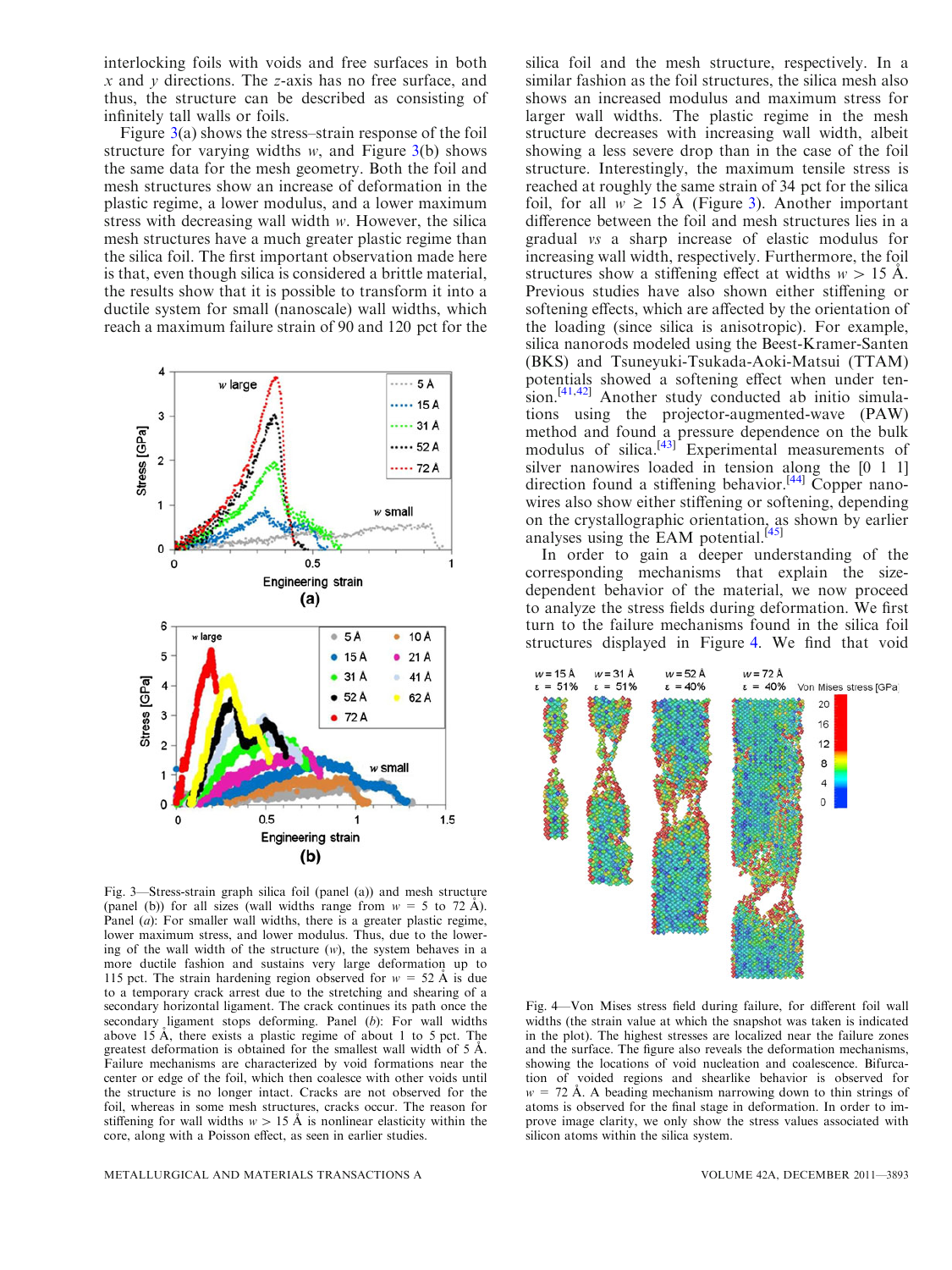<span id="page-4-0"></span>interlocking foils with voids and free surfaces in both  $x$  and  $y$  directions. The  $z$ -axis has no free surface, and thus, the structure can be described as consisting of infinitely tall walls or foils.

Figure  $3(a)$  shows the stress–strain response of the foil structure for varying widths  $w$ , and Figure  $3(b)$  shows the same data for the mesh geometry. Both the foil and mesh structures show an increase of deformation in the plastic regime, a lower modulus, and a lower maximum stress with decreasing wall width w. However, the silica mesh structures have a much greater plastic regime than the silica foil. The first important observation made here is that, even though silica is considered a brittle material, the results show that it is possible to transform it into a ductile system for small (nanoscale) wall widths, which reach a maximum failure strain of 90 and 120 pct for the



Fig. 3—Stress-strain graph silica foil (panel (a)) and mesh structure (panel (b)) for all sizes (wall widths range from  $w = 5$  to 72 Å). Panel (*a*): For smaller wall widths, there is a greater plastic regime, lower maximum stress, and lower modulus. Thus, due to the lowering of the wall width of the structure (w), the system behaves in a more ductile fashion and sustains very large deformation up to 115 pct. The strain hardening region observed for  $w = 52 \text{ Å}$  is due to a temporary crack arrest due to the stretching and shearing of a secondary horizontal ligament. The crack continues its path once the secondary ligament stops deforming. Panel (b): For wall widths above 15 A, there exists a plastic regime of about 1 to 5 pct. The greatest deformation is obtained for the smallest wall width of  $5 \text{ Å}$ . Failure mechanisms are characterized by void formations near the center or edge of the foil, which then coalesce with other voids until the structure is no longer intact. Cracks are not observed for the foil, whereas in some mesh structures, cracks occur. The reason for stiffening for wall widths  $w > 15$  Å is nonlinear elasticity within the core, along with a Poisson effect, as seen in earlier studies.

silica foil and the mesh structure, respectively. In a similar fashion as the foil structures, the silica mesh also shows an increased modulus and maximum stress for larger wall widths. The plastic regime in the mesh structure decreases with increasing wall width, albeit showing a less severe drop than in the case of the foil structure. Interestingly, the maximum tensile stress is reached at roughly the same strain of 34 pct for the silica foil, for all  $w \ge 15$  Å (Figure 3). Another important difference between the foil and mesh structures lies in a gradual vs a sharp increase of elastic modulus for increasing wall width, respectively. Furthermore, the foil structures show a stiffening effect at widths  $w > 15$  A. Previous studies have also shown either stiffening or softening effects, which are affected by the orientation of the loading (since silica is anisotropic). For example, silica nanorods modeled using the Beest-Kramer-Santen (BKS) and Tsuneyuki-Tsukada-Aoki-Matsui (TTAM) potentials showed a softening effect when under ten-sion.<sup>[\[41,42](#page-8-0)]</sup> Another study conducted ab initio simulations using the projector-augmented-wave (PAW) method and found a pressure dependence on the bulk modulus of silica.<sup>[\[43\]](#page-8-0)</sup> Experimental measurements of silver nanowires loaded in tension along the [0 1 1] direction found a stiffening behavior.<sup>[[44](#page-8-0)]</sup> Copper nanowires also show either stiffening or softening, depending on the crystallographic orientation, as shown by earlier analyses using the EAM potential. $^{[45]}$  $^{[45]}$  $^{[45]}$ 

In order to gain a deeper understanding of the corresponding mechanisms that explain the sizedependent behavior of the material, we now proceed to analyze the stress fields during deformation. We first turn to the failure mechanisms found in the silica foil structures displayed in Figure 4. We find that void



Fig. 4—Von Mises stress field during failure, for different foil wall widths (the strain value at which the snapshot was taken is indicated in the plot). The highest stresses are localized near the failure zones and the surface. The figure also reveals the deformation mechanisms, showing the locations of void nucleation and coalescence. Bifurcation of voided regions and shearlike behavior is observed for  $w = 72$  Å. A beading mechanism narrowing down to thin strings of atoms is observed for the final stage in deformation. In order to improve image clarity, we only show the stress values associated with silicon atoms within the silica system.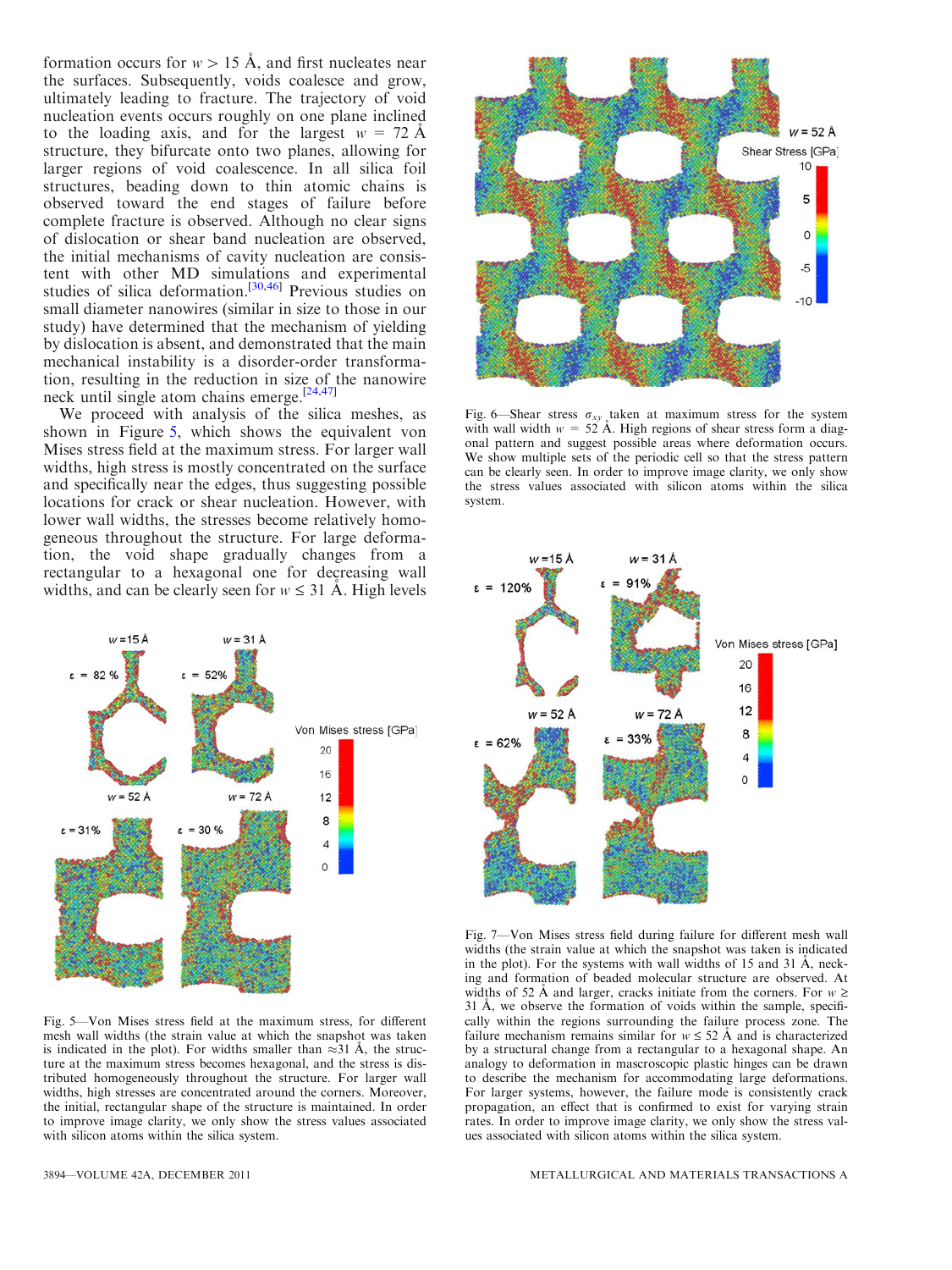<span id="page-5-0"></span>formation occurs for  $w>15$  Å, and first nucleates near the surfaces. Subsequently, voids coalesce and grow, ultimately leading to fracture. The trajectory of void nucleation events occurs roughly on one plane inclined to the loading axis, and for the largest  $w = 72 \text{ Å}$ structure, they bifurcate onto two planes, allowing for larger regions of void coalescence. In all silica foil structures, beading down to thin atomic chains is observed toward the end stages of failure before complete fracture is observed. Although no clear signs of dislocation or shear band nucleation are observed, the initial mechanisms of cavity nucleation are consistent with other MD simulations and experimental studies of silica deformation.<sup>[[30](#page-8-0),[46\]](#page-8-0)</sup> Previous studies on small diameter nanowires (similar in size to those in our study) have determined that the mechanism of yielding by dislocation is absent, and demonstrated that the main mechanical instability is a disorder-order transformation, resulting in the reduction in size of the nanowire neck until single atom chains emerge.[\[24,47](#page-8-0)]

We proceed with analysis of the silica meshes, as shown in Figure 5, which shows the equivalent von Mises stress field at the maximum stress. For larger wall widths, high stress is mostly concentrated on the surface and specifically near the edges, thus suggesting possible locations for crack or shear nucleation. However, with lower wall widths, the stresses become relatively homogeneous throughout the structure. For large deformation, the void shape gradually changes from a rectangular to a hexagonal one for decreasing wall widths, and can be clearly seen for  $w \leq 31$  Å. High levels



Fig. 5—Von Mises stress field at the maximum stress, for different mesh wall widths (the strain value at which the snapshot was taken is indicated in the plot). For widths smaller than  $\approx 31$  Å, the structure at the maximum stress becomes hexagonal, and the stress is distributed homogeneously throughout the structure. For larger wall widths, high stresses are concentrated around the corners. Moreover, the initial, rectangular shape of the structure is maintained. In order to improve image clarity, we only show the stress values associated with silicon atoms within the silica system.



Fig. 6—Shear stress  $\sigma_{xy}$  taken at maximum stress for the system with wall width  $w = 52 \text{ Å}$ . High regions of shear stress form a diagonal pattern and suggest possible areas where deformation occurs. We show multiple sets of the periodic cell so that the stress pattern can be clearly seen. In order to improve image clarity, we only show the stress values associated with silicon atoms within the silica system.



Fig. 7—Von Mises stress field during failure for different mesh wall widths (the strain value at which the snapshot was taken is indicated in the plot). For the systems with wall widths of  $15$  and  $31$  Å, necking and formation of beaded molecular structure are observed. At widths of 52 Å and larger, cracks initiate from the corners. For  $w \ge$ 31 Å, we observe the formation of voids within the sample, specifically within the regions surrounding the failure process zone. The failure mechanism remains similar for  $w \leq 52$  Å and is characterized by a structural change from a rectangular to a hexagonal shape. An analogy to deformation in mascroscopic plastic hinges can be drawn to describe the mechanism for accommodating large deformations. For larger systems, however, the failure mode is consistently crack propagation, an effect that is confirmed to exist for varying strain rates. In order to improve image clarity, we only show the stress values associated with silicon atoms within the silica system.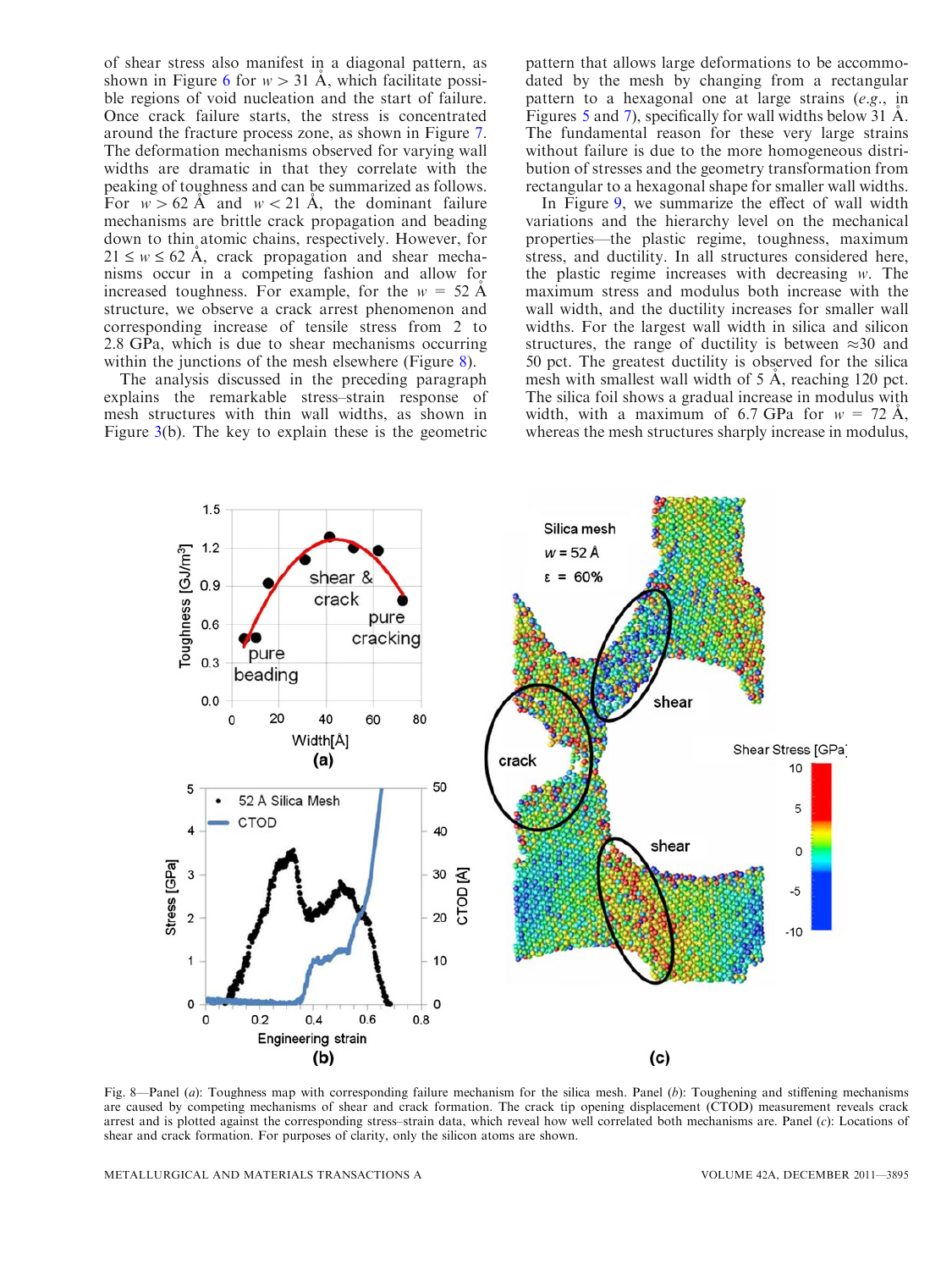<span id="page-6-0"></span>of shear stress also manifest in a diagonal pattern, as shown in Figure [6](#page-5-0) for  $w > 31$  Å, which facilitate possible regions of void nucleation and the start of failure. Once crack failure starts, the stress is concentrated around the fracture process zone, as shown in Figure [7](#page-5-0). The deformation mechanisms observed for varying wall widths are dramatic in that they correlate with the peaking of toughness and can be summarized as follows. For  $w > 62$  Å and  $w < 21$  Å, the dominant failure mechanisms are brittle crack propagation and beading down to thin atomic chains, respectively. However, for  $21 \leq w \leq 62$  Å, crack propagation and shear mechanisms occur in a competing fashion and allow for increased toughness. For example, for the  $w = 52 \text{ Å}$ structure, we observe a crack arrest phenomenon and corresponding increase of tensile stress from 2 to 2.8 GPa, which is due to shear mechanisms occurring within the junctions of the mesh elsewhere (Figure 8).

The analysis discussed in the preceding paragraph explains the remarkable stress–strain response of mesh structures with thin wall widths, as shown in Figure  $3(b)$  $3(b)$ . The key to explain these is the geometric pattern that allows large deformations to be accommodated by the mesh by changing from a rectangular pattern to a hexagonal one at large strains (e.g., in Figures [5](#page-5-0) and [7](#page-5-0)), specifically for wall widths below 31  $\AA$ . The fundamental reason for these very large strains without failure is due to the more homogeneous distribution of stresses and the geometry transformation from rectangular to a hexagonal shape for smaller wall widths.

In Figure [9](#page-7-0), we summarize the effect of wall width variations and the hierarchy level on the mechanical properties—the plastic regime, toughness, maximum stress, and ductility. In all structures considered here, the plastic regime increases with decreasing w. The maximum stress and modulus both increase with the wall width, and the ductility increases for smaller wall widths. For the largest wall width in silica and silicon structures, the range of ductility is between  $\approx 30$  and 50 pct. The greatest ductility is observed for the silica mesh with smallest wall width of  $5 \text{ Å}$ , reaching 120 pct. The silica foil shows a gradual increase in modulus with width, with a maximum of 6.7 GPa for  $w = 72 \text{ Å}$ , whereas the mesh structures sharply increase in modulus,



METALLURGICAL AND MATERIALS TRANSACTIONS A VOLUME 42A, DECEMBER 2011—3895

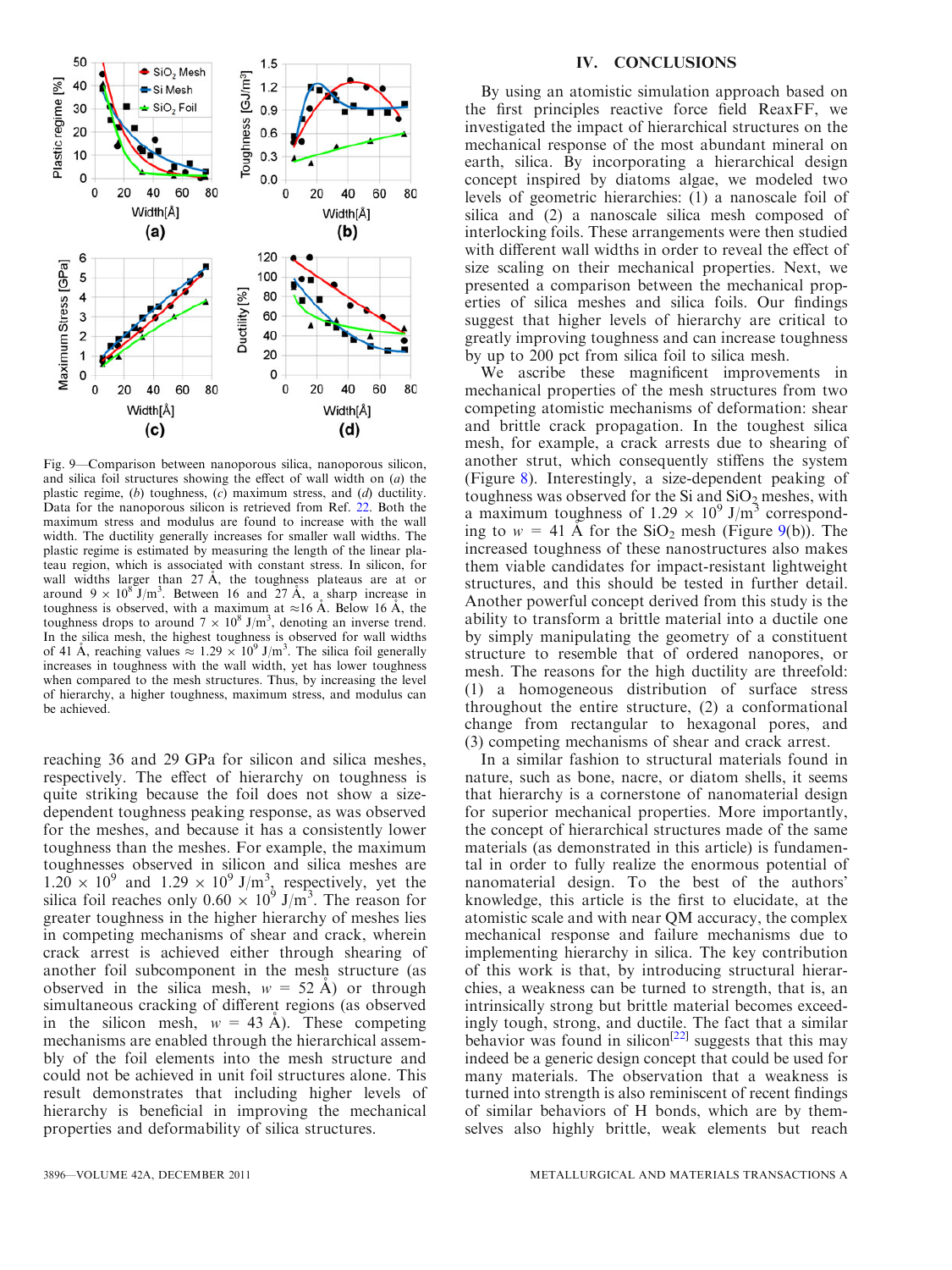<span id="page-7-0"></span>

Fig. 9—Comparison between nanoporous silica, nanoporous silicon, and silica foil structures showing the effect of wall width on  $(a)$  the plastic regime,  $(b)$  toughness,  $(c)$  maximum stress, and  $(d)$  ductility. Data for the nanoporous silicon is retrieved from Ref. [22](#page-8-0). Both the maximum stress and modulus are found to increase with the wall width. The ductility generally increases for smaller wall widths. The plastic regime is estimated by measuring the length of the linear plateau region, which is associated with constant stress. In silicon, for wall widths larger than  $27 \text{ Å}$ , the toughness plateaus are at or around  $9 \times 10^8$  J/m<sup>3</sup>. Between 16 and 27 Å, a sharp increase in toughness is observed, with a maximum at  $\approx$ 16 Å. Below 16 Å, the toughness drops to around  $7 \times 10^8$  J/m<sup>3</sup>, denoting an inverse trend. In the silica mesh, the highest toughness is observed for wall widths of 41 Å, reaching values  $\approx 1.29 \times 10^9$  J/m<sup>3</sup>. The silica foil generally increases in toughness with the wall width, yet has lower toughness when compared to the mesh structures. Thus, by increasing the level of hierarchy, a higher toughness, maximum stress, and modulus can be achieved.

reaching 36 and 29 GPa for silicon and silica meshes, respectively. The effect of hierarchy on toughness is quite striking because the foil does not show a sizedependent toughness peaking response, as was observed for the meshes, and because it has a consistently lower toughness than the meshes. For example, the maximum toughnesses observed in silicon and silica meshes are  $1.20 \times 10^9$  and  $1.29 \times 10^9$  J/m<sup>3</sup>, respectively, yet the silica foil reaches only  $0.60 \times 10^9$  J/m<sup>3</sup>. The reason for greater toughness in the higher hierarchy of meshes lies in competing mechanisms of shear and crack, wherein crack arrest is achieved either through shearing of another foil subcomponent in the mesh structure (as observed in the silica mesh,  $w = 52 \text{ Å}$  or through simultaneous cracking of different regions (as observed in the silicon mesh,  $w = 43 \text{ Å}$ ). These competing mechanisms are enabled through the hierarchical assembly of the foil elements into the mesh structure and could not be achieved in unit foil structures alone. This result demonstrates that including higher levels of hierarchy is beneficial in improving the mechanical properties and deformability of silica structures.

#### IV. CONCLUSIONS

By using an atomistic simulation approach based on the first principles reactive force field ReaxFF, we investigated the impact of hierarchical structures on the mechanical response of the most abundant mineral on earth, silica. By incorporating a hierarchical design concept inspired by diatoms algae, we modeled two levels of geometric hierarchies: (1) a nanoscale foil of silica and (2) a nanoscale silica mesh composed of interlocking foils. These arrangements were then studied with different wall widths in order to reveal the effect of size scaling on their mechanical properties. Next, we presented a comparison between the mechanical properties of silica meshes and silica foils. Our findings suggest that higher levels of hierarchy are critical to greatly improving toughness and can increase toughness by up to 200 pct from silica foil to silica mesh.

We ascribe these magnificent improvements in mechanical properties of the mesh structures from two competing atomistic mechanisms of deformation: shear and brittle crack propagation. In the toughest silica mesh, for example, a crack arrests due to shearing of another strut, which consequently stiffens the system (Figure [8\)](#page-6-0). Interestingly, a size-dependent peaking of toughness was observed for the Si and  $SiO<sub>2</sub>$  meshes, with a maximum toughness of  $1.29 \times 10^9$  J/m<sup>3</sup> corresponding to  $w = 41$  Å for the SiO<sub>2</sub> mesh (Figure 9(b)). The increased toughness of these nanostructures also makes them viable candidates for impact-resistant lightweight structures, and this should be tested in further detail. Another powerful concept derived from this study is the ability to transform a brittle material into a ductile one by simply manipulating the geometry of a constituent structure to resemble that of ordered nanopores, or mesh. The reasons for the high ductility are threefold: (1) a homogeneous distribution of surface stress throughout the entire structure, (2) a conformational change from rectangular to hexagonal pores, and (3) competing mechanisms of shear and crack arrest.

In a similar fashion to structural materials found in nature, such as bone, nacre, or diatom shells, it seems that hierarchy is a cornerstone of nanomaterial design for superior mechanical properties. More importantly, the concept of hierarchical structures made of the same materials (as demonstrated in this article) is fundamental in order to fully realize the enormous potential of nanomaterial design. To the best of the authors' knowledge, this article is the first to elucidate, at the atomistic scale and with near QM accuracy, the complex mechanical response and failure mechanisms due to implementing hierarchy in silica. The key contribution of this work is that, by introducing structural hierarchies, a weakness can be turned to strength, that is, an intrinsically strong but brittle material becomes exceedingly tough, strong, and ductile. The fact that a similar behavior was found in silicon<sup>[\[22\]](#page-8-0)</sup> suggests that this may indeed be a generic design concept that could be used for many materials. The observation that a weakness is turned into strength is also reminiscent of recent findings of similar behaviors of H bonds, which are by themselves also highly brittle, weak elements but reach